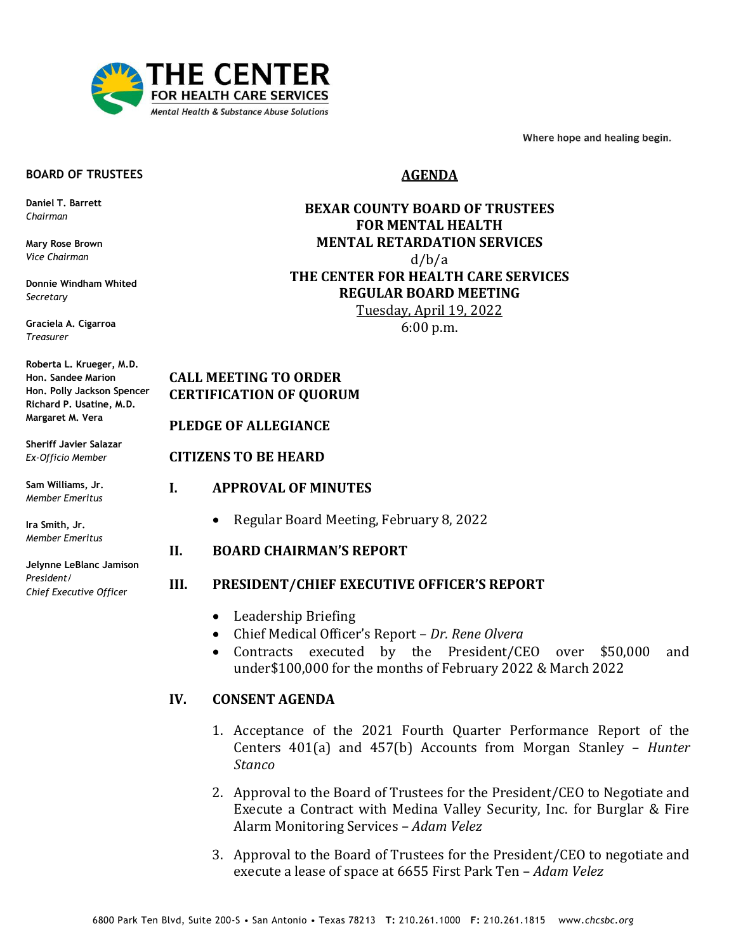

Where hope and healing begin.

#### **BOARD OF TRUSTEES**

**Daniel T. Barrett** *Chairman*

**Mary Rose Brown** *Vice Chairman*

**Donnie Windham Whited** *Secretary*

**Graciela A. Cigarroa** *Treasurer*

**Roberta L. Krueger, M.D. Hon. Sandee Marion Hon. Polly Jackson Spencer Richard P. Usatine, M.D. Margaret M. Vera**

**Sheriff Javier Salazar** *Ex-Officio Member*

**Sam Williams, Jr.** *Member Emeritus*

**Ira Smith, Jr.** *Member Emeritus*

**Jelynne LeBlanc Jamison** *President/ Chief Executive Office*r

# **AGENDA**

# **BEXAR COUNTY BOARD OF TRUSTEES FOR MENTAL HEALTH MENTAL RETARDATION SERVICES**  d/b/a **THE CENTER FOR HEALTH CARE SERVICES REGULAR BOARD MEETING** Tuesday, April 19, 2022 6:00 p.m.

# **CALL MEETING TO ORDER CERTIFICATION OF QUORUM**

#### **PLEDGE OF ALLEGIANCE**

## **CITIZENS TO BE HEARD**

- **I. APPROVAL OF MINUTES**
	- Regular Board Meeting, February 8, 2022

# **II. BOARD CHAIRMAN'S REPORT**

## **III. PRESIDENT/CHIEF EXECUTIVE OFFICER'S REPORT**

- Leadership Briefing
- Chief Medical Officer's Report *Dr. Rene Olvera*
- Contracts executed by the President/CEO over \$50,000 and under\$100,000 for the months of February 2022 & March 2022

## **IV. CONSENT AGENDA**

- 1. Acceptance of the 2021 Fourth Quarter Performance Report of the Centers 401(a) and 457(b) Accounts from Morgan Stanley – *Hunter Stanco*
- 2. Approval to the Board of Trustees for the President/CEO to Negotiate and Execute a Contract with Medina Valley Security, Inc. for Burglar & Fire Alarm Monitoring Services – *Adam Velez*
- 3. Approval to the Board of Trustees for the President/CEO to negotiate and execute a lease of space at 6655 First Park Ten – *Adam Velez*